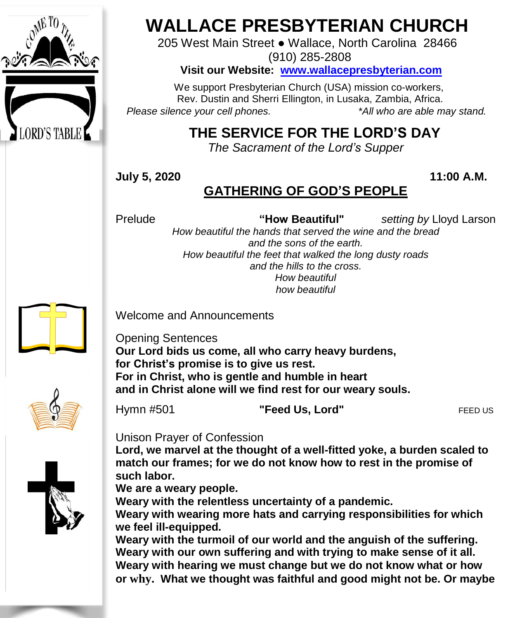

# **WALLACE PRESBYTERIAN CHURCH**

205 West Main Street ● Wallace, North Carolina 28466 (910) 285-2808

**Visit our Website: [www.wallacepresbyterian.com](http://www.wallacepresbyterian.com/)**

 We support Presbyterian Church (USA) mission co-workers, Rev. Dustin and Sherri Ellington, in Lusaka, Zambia, Africa. *Please silence your cell phones. \*All who are able may stand.*

## **THE SERVICE FOR THE LORD'S DAY**

*The Sacrament of the Lord's Supper*

**July 5, 2020 11:00 A.M.**

## **GATHERING OF GOD'S PEOPLE**

Prelude **"How Beautiful"** *setting by* Lloyd Larson

*How beautiful the hands that served the wine and the bread and the sons of the earth. How beautiful the feet that walked the long dusty roads and the hills to the cross. How beautiful how beautiful*

Welcome and Announcements

Opening Sentences **Our Lord bids us come, all who carry heavy burdens, for Christ's promise is to give us rest. For in Christ, who is gentle and humble in heart and in Christ alone will we find rest for our weary souls.**



Hymn #501 **"Feed Us, Lord" FEED US** 

#### Unison Prayer of Confession

**Lord, we marvel at the thought of a well-fitted yoke, a burden scaled to match our frames; for we do not know how to rest in the promise of such labor.**

**We are a weary people.**

**Weary with the relentless uncertainty of a pandemic.**

**Weary with wearing more hats and carrying responsibilities for which we feel ill-equipped.**

**Weary with the turmoil of our world and the anguish of the suffering. Weary with our own suffering and with trying to make sense of it all. Weary with hearing we must change but we do not know what or how or why. What we thought was faithful and good might not be. Or maybe**

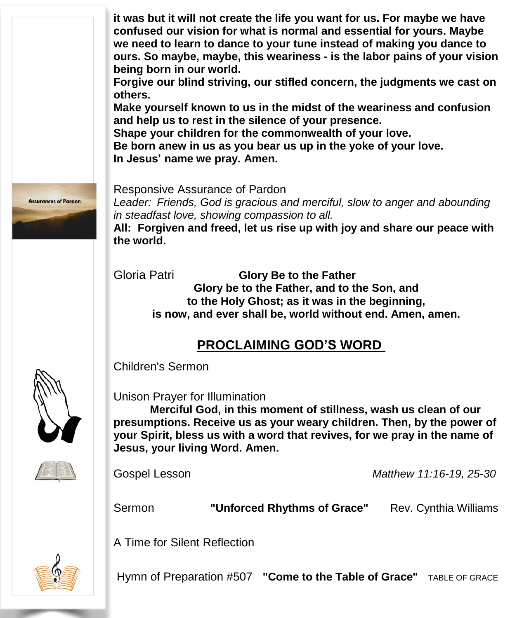**it was but it will not create the life you want for us. For maybe we have confused our vision for what is normal and essential for yours. Maybe we need to learn to dance to your tune instead of making you dance to ours. So maybe, maybe, this weariness - is the labor pains of your vision being born in our world.**

**Forgive our blind striving, our stifled concern, the judgments we cast on others.**

**Make yourself known to us in the midst of the weariness and confusion and help us to rest in the silence of your presence.**

**Shape your children for the commonwealth of your love.**

**Be born anew in us as you bear us up in the yoke of your love.**

**In Jesus' name we pray. Amen.**



Responsive Assurance of Pardon

*Leader: Friends, God is gracious and merciful, slow to anger and abounding in steadfast love, showing compassion to all.*

**All: Forgiven and freed, let us rise up with joy and share our peace with the world.**

Gloria Patri **Glory Be to the Father Glory be to the Father, and to the Son, and to the Holy Ghost; as it was in the beginning, is now, and ever shall be, world without end. Amen, amen.**

#### **PROCLAIMING GOD'S WORD**

Children's Sermon

Unison Prayer for Illumination

**Merciful God, in this moment of stillness, wash us clean of our presumptions. Receive us as your weary children. Then, by the power of your Spirit, bless us with a word that revives, for we pray in the name of Jesus, your living Word. Amen.**



Gospel Lesson *Matthew 11:16-19, 25-30*

Sermon **"Unforced Rhythms of Grace"** Rev. Cynthia Williams

A Time for Silent Reflection



Hymn of Preparation #507 **"Come to the Table of Grace"** TABLE OF GRACE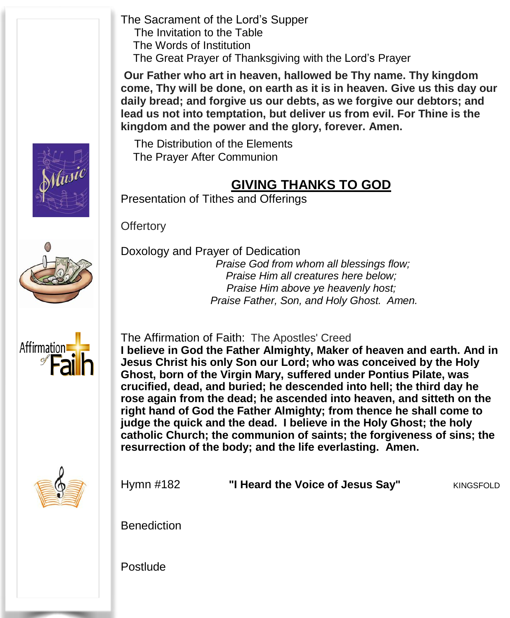The Sacrament of the Lord's Supper The Invitation to the Table The Words of Institution The Great Prayer of Thanksgiving with the Lord's Prayer

**Our Father who art in heaven, hallowed be Thy name. Thy kingdom come, Thy will be done, on earth as it is in heaven. Give us this day our daily bread; and forgive us our debts, as we forgive our debtors; and lead us not into temptation, but deliver us from evil. For Thine is the kingdom and the power and the glory, forever. Amen.**

 The Distribution of the Elements The Prayer After Communion

### **GIVING THANKS TO GOD**

Presentation of Tithes and Offerings

**Offertory** 



 Doxology and Prayer of Dedication

*Praise God from whom all blessings flow; Praise Him all creatures here below; Praise Him above ye heavenly host; Praise Father, Son, and Holy Ghost. Amen.*



The Affirmation of Faith: The Apostles' Creed **I believe in God the Father Almighty, Maker of heaven and earth. And in Jesus Christ his only Son our Lord; who was conceived by the Holy Ghost, born of the Virgin Mary, suffered under Pontius Pilate, was crucified, dead, and buried; he descended into hell; the third day he rose again from the dead; he ascended into heaven, and sitteth on the right hand of God the Father Almighty; from thence he shall come to judge the quick and the dead. I believe in the Holy Ghost; the holy catholic Church; the communion of saints; the forgiveness of sins; the resurrection of the body; and the life everlasting. Amen.**



**Hymn #182 "I Heard the Voice of Jesus Say" KINGSFOLD** 

**Benediction** 

Postlude